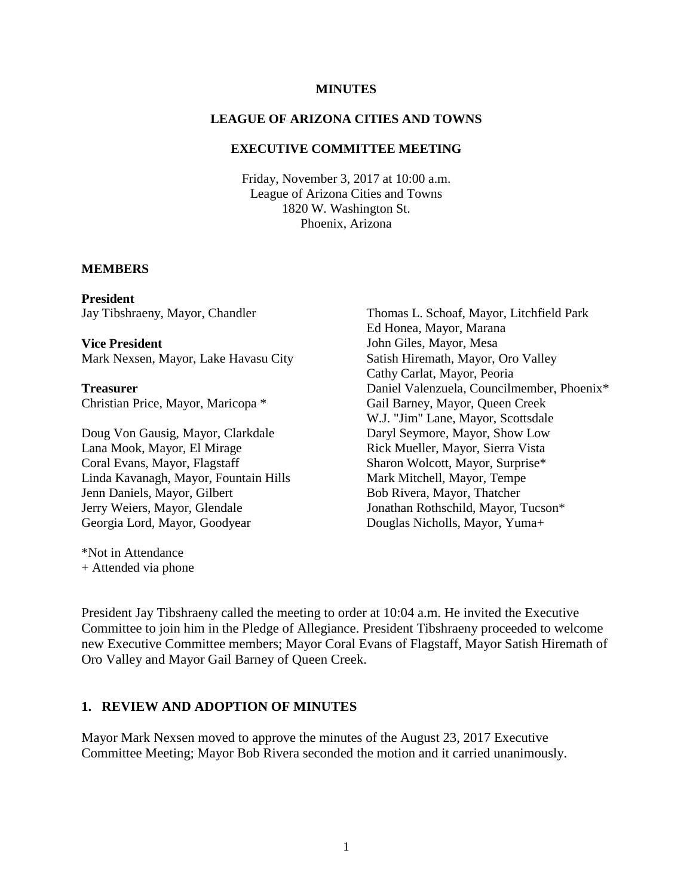#### **MINUTES**

### **LEAGUE OF ARIZONA CITIES AND TOWNS**

### **EXECUTIVE COMMITTEE MEETING**

Friday, November 3, 2017 at 10:00 a.m. League of Arizona Cities and Towns 1820 W. Washington St. Phoenix, Arizona

#### **MEMBERS**

**President** Jay Tibshraeny, Mayor, Chandler

**Vice President** Mark Nexsen, Mayor, Lake Havasu City

**Treasurer** Christian Price, Mayor, Maricopa \*

Doug Von Gausig, Mayor, Clarkdale Lana Mook, Mayor, El Mirage Coral Evans, Mayor, Flagstaff Linda Kavanagh, Mayor, Fountain Hills Jenn Daniels, Mayor, Gilbert Jerry Weiers, Mayor, Glendale Georgia Lord, Mayor, Goodyear

\*Not in Attendance + Attended via phone Thomas L. Schoaf, Mayor, Litchfield Park Ed Honea, Mayor, Marana John Giles, Mayor, Mesa Satish Hiremath, Mayor, Oro Valley Cathy Carlat, Mayor, Peoria Daniel Valenzuela, Councilmember, Phoenix\* Gail Barney, Mayor, Queen Creek W.J. "Jim" Lane, Mayor, Scottsdale Daryl Seymore, Mayor, Show Low Rick Mueller, Mayor, Sierra Vista Sharon Wolcott, Mayor, Surprise\* Mark Mitchell, Mayor, Tempe Bob Rivera, Mayor, Thatcher Jonathan Rothschild, Mayor, Tucson\* Douglas Nicholls, Mayor, Yuma+

President Jay Tibshraeny called the meeting to order at 10:04 a.m. He invited the Executive Committee to join him in the Pledge of Allegiance. President Tibshraeny proceeded to welcome new Executive Committee members; Mayor Coral Evans of Flagstaff, Mayor Satish Hiremath of Oro Valley and Mayor Gail Barney of Queen Creek.

#### **1. REVIEW AND ADOPTION OF MINUTES**

Mayor Mark Nexsen moved to approve the minutes of the August 23, 2017 Executive Committee Meeting; Mayor Bob Rivera seconded the motion and it carried unanimously.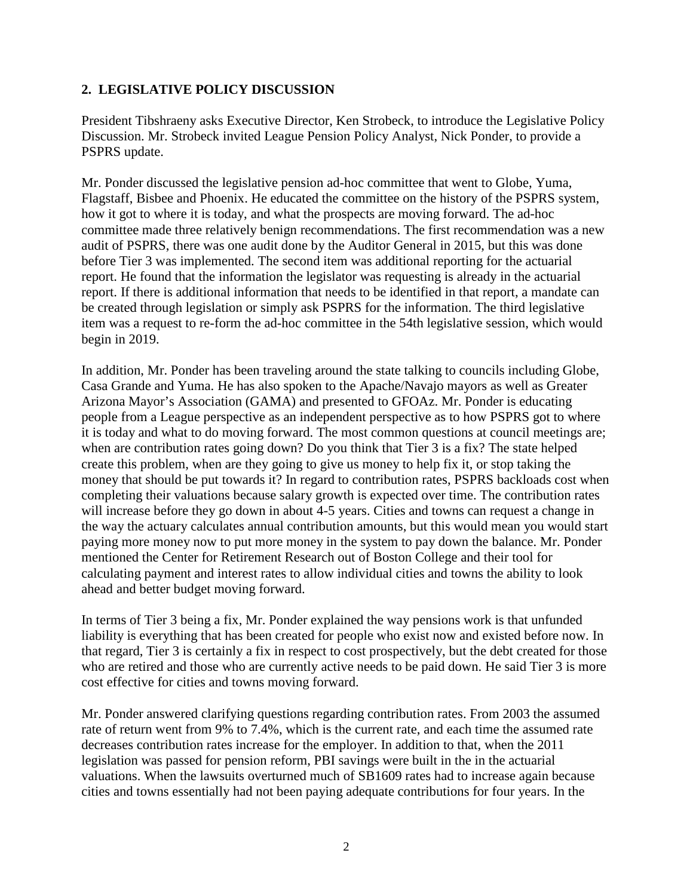## **2. LEGISLATIVE POLICY DISCUSSION**

President Tibshraeny asks Executive Director, Ken Strobeck, to introduce the Legislative Policy Discussion. Mr. Strobeck invited League Pension Policy Analyst, Nick Ponder, to provide a PSPRS update.

Mr. Ponder discussed the legislative pension ad-hoc committee that went to Globe, Yuma, Flagstaff, Bisbee and Phoenix. He educated the committee on the history of the PSPRS system, how it got to where it is today, and what the prospects are moving forward. The ad-hoc committee made three relatively benign recommendations. The first recommendation was a new audit of PSPRS, there was one audit done by the Auditor General in 2015, but this was done before Tier 3 was implemented. The second item was additional reporting for the actuarial report. He found that the information the legislator was requesting is already in the actuarial report. If there is additional information that needs to be identified in that report, a mandate can be created through legislation or simply ask PSPRS for the information. The third legislative item was a request to re-form the ad-hoc committee in the 54th legislative session, which would begin in 2019.

In addition, Mr. Ponder has been traveling around the state talking to councils including Globe, Casa Grande and Yuma. He has also spoken to the Apache/Navajo mayors as well as Greater Arizona Mayor's Association (GAMA) and presented to GFOAz. Mr. Ponder is educating people from a League perspective as an independent perspective as to how PSPRS got to where it is today and what to do moving forward. The most common questions at council meetings are; when are contribution rates going down? Do you think that Tier 3 is a fix? The state helped create this problem, when are they going to give us money to help fix it, or stop taking the money that should be put towards it? In regard to contribution rates, PSPRS backloads cost when completing their valuations because salary growth is expected over time. The contribution rates will increase before they go down in about 4-5 years. Cities and towns can request a change in the way the actuary calculates annual contribution amounts, but this would mean you would start paying more money now to put more money in the system to pay down the balance. Mr. Ponder mentioned the Center for Retirement Research out of Boston College and their tool for calculating payment and interest rates to allow individual cities and towns the ability to look ahead and better budget moving forward.

In terms of Tier 3 being a fix, Mr. Ponder explained the way pensions work is that unfunded liability is everything that has been created for people who exist now and existed before now. In that regard, Tier 3 is certainly a fix in respect to cost prospectively, but the debt created for those who are retired and those who are currently active needs to be paid down. He said Tier 3 is more cost effective for cities and towns moving forward.

Mr. Ponder answered clarifying questions regarding contribution rates. From 2003 the assumed rate of return went from 9% to 7.4%, which is the current rate, and each time the assumed rate decreases contribution rates increase for the employer. In addition to that, when the 2011 legislation was passed for pension reform, PBI savings were built in the in the actuarial valuations. When the lawsuits overturned much of SB1609 rates had to increase again because cities and towns essentially had not been paying adequate contributions for four years. In the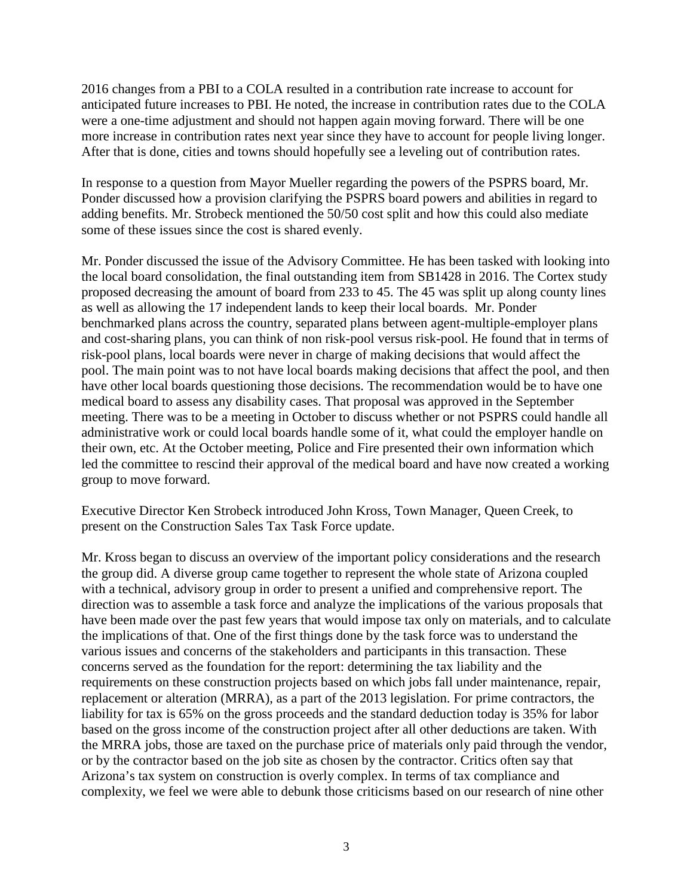2016 changes from a PBI to a COLA resulted in a contribution rate increase to account for anticipated future increases to PBI. He noted, the increase in contribution rates due to the COLA were a one-time adjustment and should not happen again moving forward. There will be one more increase in contribution rates next year since they have to account for people living longer. After that is done, cities and towns should hopefully see a leveling out of contribution rates.

In response to a question from Mayor Mueller regarding the powers of the PSPRS board, Mr. Ponder discussed how a provision clarifying the PSPRS board powers and abilities in regard to adding benefits. Mr. Strobeck mentioned the 50/50 cost split and how this could also mediate some of these issues since the cost is shared evenly.

Mr. Ponder discussed the issue of the Advisory Committee. He has been tasked with looking into the local board consolidation, the final outstanding item from SB1428 in 2016. The Cortex study proposed decreasing the amount of board from 233 to 45. The 45 was split up along county lines as well as allowing the 17 independent lands to keep their local boards. Mr. Ponder benchmarked plans across the country, separated plans between agent-multiple-employer plans and cost-sharing plans, you can think of non risk-pool versus risk-pool. He found that in terms of risk-pool plans, local boards were never in charge of making decisions that would affect the pool. The main point was to not have local boards making decisions that affect the pool, and then have other local boards questioning those decisions. The recommendation would be to have one medical board to assess any disability cases. That proposal was approved in the September meeting. There was to be a meeting in October to discuss whether or not PSPRS could handle all administrative work or could local boards handle some of it, what could the employer handle on their own, etc. At the October meeting, Police and Fire presented their own information which led the committee to rescind their approval of the medical board and have now created a working group to move forward.

Executive Director Ken Strobeck introduced John Kross, Town Manager, Queen Creek, to present on the Construction Sales Tax Task Force update.

Mr. Kross began to discuss an overview of the important policy considerations and the research the group did. A diverse group came together to represent the whole state of Arizona coupled with a technical, advisory group in order to present a unified and comprehensive report. The direction was to assemble a task force and analyze the implications of the various proposals that have been made over the past few years that would impose tax only on materials, and to calculate the implications of that. One of the first things done by the task force was to understand the various issues and concerns of the stakeholders and participants in this transaction. These concerns served as the foundation for the report: determining the tax liability and the requirements on these construction projects based on which jobs fall under maintenance, repair, replacement or alteration (MRRA), as a part of the 2013 legislation. For prime contractors, the liability for tax is 65% on the gross proceeds and the standard deduction today is 35% for labor based on the gross income of the construction project after all other deductions are taken. With the MRRA jobs, those are taxed on the purchase price of materials only paid through the vendor, or by the contractor based on the job site as chosen by the contractor. Critics often say that Arizona's tax system on construction is overly complex. In terms of tax compliance and complexity, we feel we were able to debunk those criticisms based on our research of nine other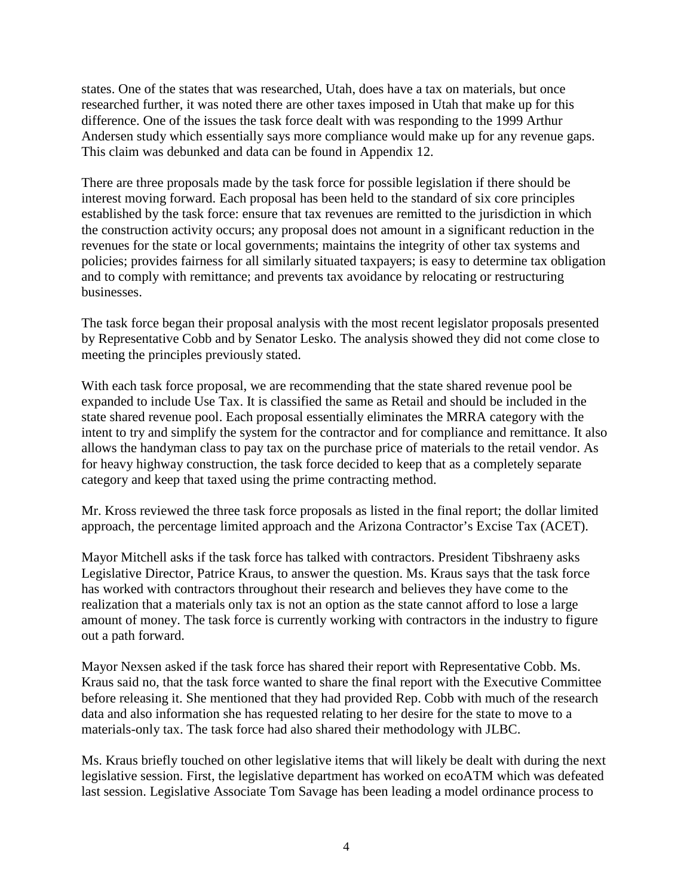states. One of the states that was researched, Utah, does have a tax on materials, but once researched further, it was noted there are other taxes imposed in Utah that make up for this difference. One of the issues the task force dealt with was responding to the 1999 Arthur Andersen study which essentially says more compliance would make up for any revenue gaps. This claim was debunked and data can be found in Appendix 12.

There are three proposals made by the task force for possible legislation if there should be interest moving forward. Each proposal has been held to the standard of six core principles established by the task force: ensure that tax revenues are remitted to the jurisdiction in which the construction activity occurs; any proposal does not amount in a significant reduction in the revenues for the state or local governments; maintains the integrity of other tax systems and policies; provides fairness for all similarly situated taxpayers; is easy to determine tax obligation and to comply with remittance; and prevents tax avoidance by relocating or restructuring businesses.

The task force began their proposal analysis with the most recent legislator proposals presented by Representative Cobb and by Senator Lesko. The analysis showed they did not come close to meeting the principles previously stated.

With each task force proposal, we are recommending that the state shared revenue pool be expanded to include Use Tax. It is classified the same as Retail and should be included in the state shared revenue pool. Each proposal essentially eliminates the MRRA category with the intent to try and simplify the system for the contractor and for compliance and remittance. It also allows the handyman class to pay tax on the purchase price of materials to the retail vendor. As for heavy highway construction, the task force decided to keep that as a completely separate category and keep that taxed using the prime contracting method.

Mr. Kross reviewed the three task force proposals as listed in the final report; the dollar limited approach, the percentage limited approach and the Arizona Contractor's Excise Tax (ACET).

Mayor Mitchell asks if the task force has talked with contractors. President Tibshraeny asks Legislative Director, Patrice Kraus, to answer the question. Ms. Kraus says that the task force has worked with contractors throughout their research and believes they have come to the realization that a materials only tax is not an option as the state cannot afford to lose a large amount of money. The task force is currently working with contractors in the industry to figure out a path forward.

Mayor Nexsen asked if the task force has shared their report with Representative Cobb. Ms. Kraus said no, that the task force wanted to share the final report with the Executive Committee before releasing it. She mentioned that they had provided Rep. Cobb with much of the research data and also information she has requested relating to her desire for the state to move to a materials-only tax. The task force had also shared their methodology with JLBC.

Ms. Kraus briefly touched on other legislative items that will likely be dealt with during the next legislative session. First, the legislative department has worked on ecoATM which was defeated last session. Legislative Associate Tom Savage has been leading a model ordinance process to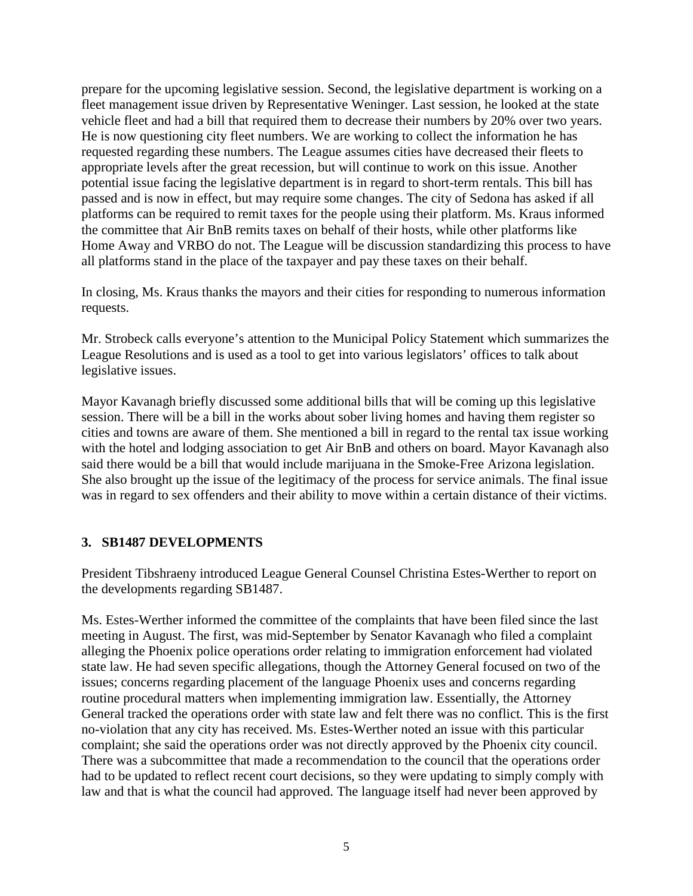prepare for the upcoming legislative session. Second, the legislative department is working on a fleet management issue driven by Representative Weninger. Last session, he looked at the state vehicle fleet and had a bill that required them to decrease their numbers by 20% over two years. He is now questioning city fleet numbers. We are working to collect the information he has requested regarding these numbers. The League assumes cities have decreased their fleets to appropriate levels after the great recession, but will continue to work on this issue. Another potential issue facing the legislative department is in regard to short-term rentals. This bill has passed and is now in effect, but may require some changes. The city of Sedona has asked if all platforms can be required to remit taxes for the people using their platform. Ms. Kraus informed the committee that Air BnB remits taxes on behalf of their hosts, while other platforms like Home Away and VRBO do not. The League will be discussion standardizing this process to have all platforms stand in the place of the taxpayer and pay these taxes on their behalf.

In closing, Ms. Kraus thanks the mayors and their cities for responding to numerous information requests.

Mr. Strobeck calls everyone's attention to the Municipal Policy Statement which summarizes the League Resolutions and is used as a tool to get into various legislators' offices to talk about legislative issues.

Mayor Kavanagh briefly discussed some additional bills that will be coming up this legislative session. There will be a bill in the works about sober living homes and having them register so cities and towns are aware of them. She mentioned a bill in regard to the rental tax issue working with the hotel and lodging association to get Air BnB and others on board. Mayor Kavanagh also said there would be a bill that would include marijuana in the Smoke-Free Arizona legislation. She also brought up the issue of the legitimacy of the process for service animals. The final issue was in regard to sex offenders and their ability to move within a certain distance of their victims.

## **3. SB1487 DEVELOPMENTS**

President Tibshraeny introduced League General Counsel Christina Estes-Werther to report on the developments regarding SB1487.

Ms. Estes-Werther informed the committee of the complaints that have been filed since the last meeting in August. The first, was mid-September by Senator Kavanagh who filed a complaint alleging the Phoenix police operations order relating to immigration enforcement had violated state law. He had seven specific allegations, though the Attorney General focused on two of the issues; concerns regarding placement of the language Phoenix uses and concerns regarding routine procedural matters when implementing immigration law. Essentially, the Attorney General tracked the operations order with state law and felt there was no conflict. This is the first no-violation that any city has received. Ms. Estes-Werther noted an issue with this particular complaint; she said the operations order was not directly approved by the Phoenix city council. There was a subcommittee that made a recommendation to the council that the operations order had to be updated to reflect recent court decisions, so they were updating to simply comply with law and that is what the council had approved. The language itself had never been approved by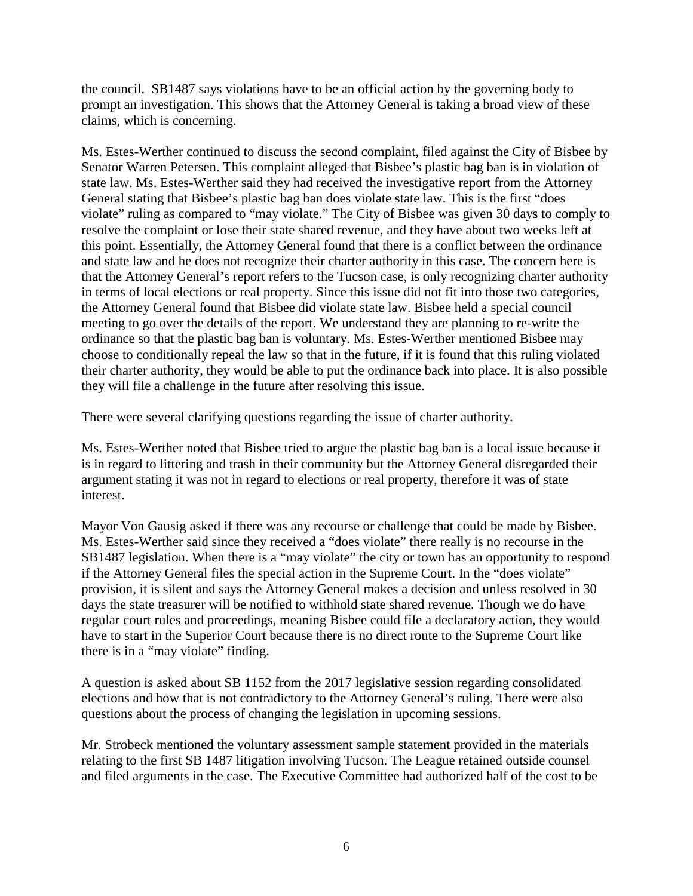the council. SB1487 says violations have to be an official action by the governing body to prompt an investigation. This shows that the Attorney General is taking a broad view of these claims, which is concerning.

Ms. Estes-Werther continued to discuss the second complaint, filed against the City of Bisbee by Senator Warren Petersen. This complaint alleged that Bisbee's plastic bag ban is in violation of state law. Ms. Estes-Werther said they had received the investigative report from the Attorney General stating that Bisbee's plastic bag ban does violate state law. This is the first "does violate" ruling as compared to "may violate." The City of Bisbee was given 30 days to comply to resolve the complaint or lose their state shared revenue, and they have about two weeks left at this point. Essentially, the Attorney General found that there is a conflict between the ordinance and state law and he does not recognize their charter authority in this case. The concern here is that the Attorney General's report refers to the Tucson case, is only recognizing charter authority in terms of local elections or real property. Since this issue did not fit into those two categories, the Attorney General found that Bisbee did violate state law. Bisbee held a special council meeting to go over the details of the report. We understand they are planning to re-write the ordinance so that the plastic bag ban is voluntary. Ms. Estes-Werther mentioned Bisbee may choose to conditionally repeal the law so that in the future, if it is found that this ruling violated their charter authority, they would be able to put the ordinance back into place. It is also possible they will file a challenge in the future after resolving this issue.

There were several clarifying questions regarding the issue of charter authority.

Ms. Estes-Werther noted that Bisbee tried to argue the plastic bag ban is a local issue because it is in regard to littering and trash in their community but the Attorney General disregarded their argument stating it was not in regard to elections or real property, therefore it was of state interest.

Mayor Von Gausig asked if there was any recourse or challenge that could be made by Bisbee. Ms. Estes-Werther said since they received a "does violate" there really is no recourse in the SB1487 legislation. When there is a "may violate" the city or town has an opportunity to respond if the Attorney General files the special action in the Supreme Court. In the "does violate" provision, it is silent and says the Attorney General makes a decision and unless resolved in 30 days the state treasurer will be notified to withhold state shared revenue. Though we do have regular court rules and proceedings, meaning Bisbee could file a declaratory action, they would have to start in the Superior Court because there is no direct route to the Supreme Court like there is in a "may violate" finding.

A question is asked about SB 1152 from the 2017 legislative session regarding consolidated elections and how that is not contradictory to the Attorney General's ruling. There were also questions about the process of changing the legislation in upcoming sessions.

Mr. Strobeck mentioned the voluntary assessment sample statement provided in the materials relating to the first SB 1487 litigation involving Tucson. The League retained outside counsel and filed arguments in the case. The Executive Committee had authorized half of the cost to be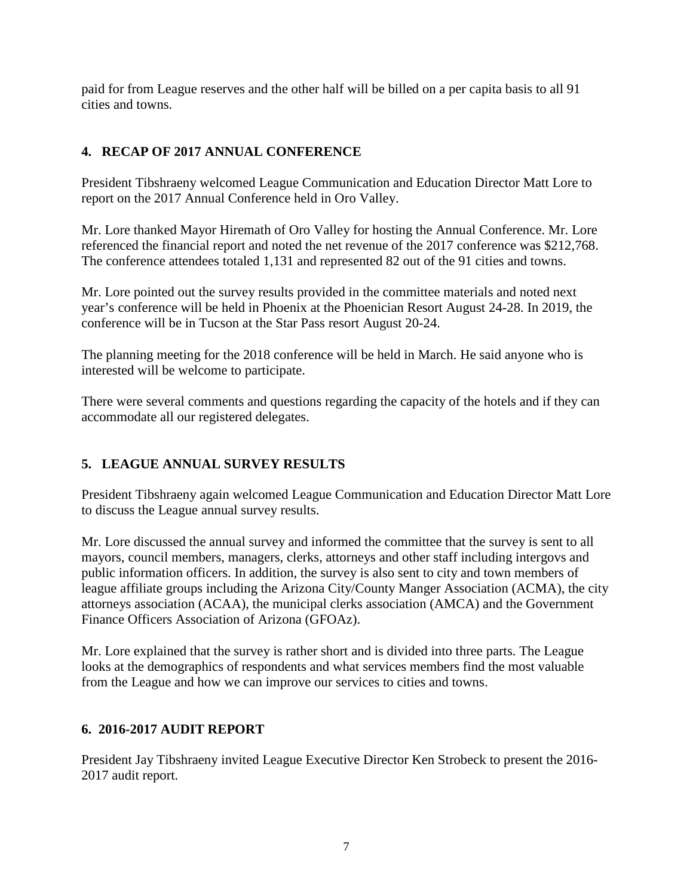paid for from League reserves and the other half will be billed on a per capita basis to all 91 cities and towns.

# **4. RECAP OF 2017 ANNUAL CONFERENCE**

President Tibshraeny welcomed League Communication and Education Director Matt Lore to report on the 2017 Annual Conference held in Oro Valley.

Mr. Lore thanked Mayor Hiremath of Oro Valley for hosting the Annual Conference. Mr. Lore referenced the financial report and noted the net revenue of the 2017 conference was \$212,768. The conference attendees totaled 1,131 and represented 82 out of the 91 cities and towns.

Mr. Lore pointed out the survey results provided in the committee materials and noted next year's conference will be held in Phoenix at the Phoenician Resort August 24-28. In 2019, the conference will be in Tucson at the Star Pass resort August 20-24.

The planning meeting for the 2018 conference will be held in March. He said anyone who is interested will be welcome to participate.

There were several comments and questions regarding the capacity of the hotels and if they can accommodate all our registered delegates.

# **5. LEAGUE ANNUAL SURVEY RESULTS**

President Tibshraeny again welcomed League Communication and Education Director Matt Lore to discuss the League annual survey results.

Mr. Lore discussed the annual survey and informed the committee that the survey is sent to all mayors, council members, managers, clerks, attorneys and other staff including intergovs and public information officers. In addition, the survey is also sent to city and town members of league affiliate groups including the Arizona City/County Manger Association (ACMA), the city attorneys association (ACAA), the municipal clerks association (AMCA) and the Government Finance Officers Association of Arizona (GFOAz).

Mr. Lore explained that the survey is rather short and is divided into three parts. The League looks at the demographics of respondents and what services members find the most valuable from the League and how we can improve our services to cities and towns.

## **6. 2016-2017 AUDIT REPORT**

President Jay Tibshraeny invited League Executive Director Ken Strobeck to present the 2016- 2017 audit report.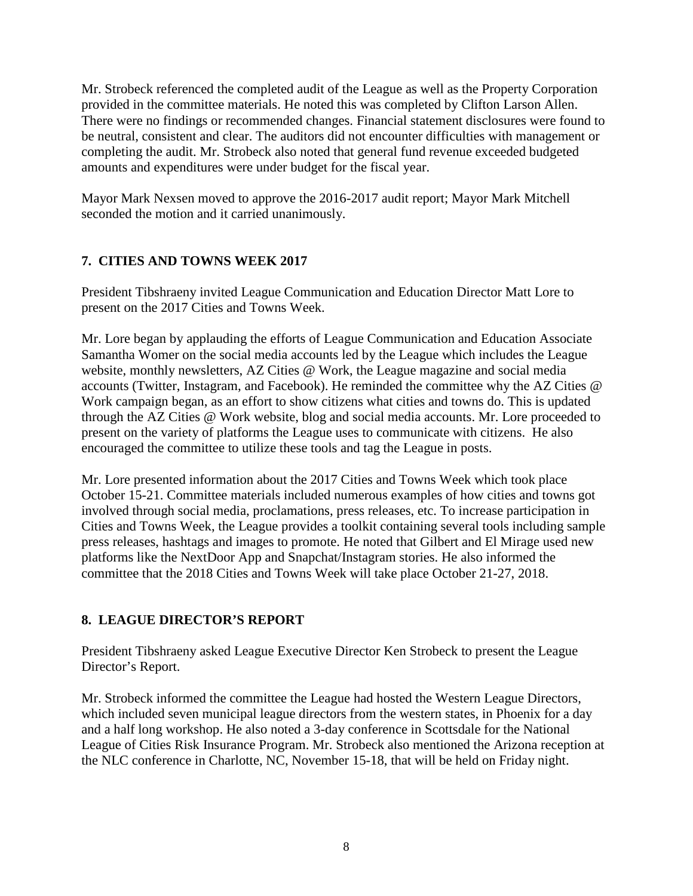Mr. Strobeck referenced the completed audit of the League as well as the Property Corporation provided in the committee materials. He noted this was completed by Clifton Larson Allen. There were no findings or recommended changes. Financial statement disclosures were found to be neutral, consistent and clear. The auditors did not encounter difficulties with management or completing the audit. Mr. Strobeck also noted that general fund revenue exceeded budgeted amounts and expenditures were under budget for the fiscal year.

Mayor Mark Nexsen moved to approve the 2016-2017 audit report; Mayor Mark Mitchell seconded the motion and it carried unanimously.

# **7. CITIES AND TOWNS WEEK 2017**

President Tibshraeny invited League Communication and Education Director Matt Lore to present on the 2017 Cities and Towns Week.

Mr. Lore began by applauding the efforts of League Communication and Education Associate Samantha Womer on the social media accounts led by the League which includes the League website, monthly newsletters, AZ Cities @ Work, the League magazine and social media accounts (Twitter, Instagram, and Facebook). He reminded the committee why the AZ Cities @ Work campaign began, as an effort to show citizens what cities and towns do. This is updated through the AZ Cities @ Work website, blog and social media accounts. Mr. Lore proceeded to present on the variety of platforms the League uses to communicate with citizens. He also encouraged the committee to utilize these tools and tag the League in posts.

Mr. Lore presented information about the 2017 Cities and Towns Week which took place October 15-21. Committee materials included numerous examples of how cities and towns got involved through social media, proclamations, press releases, etc. To increase participation in Cities and Towns Week, the League provides a toolkit containing several tools including sample press releases, hashtags and images to promote. He noted that Gilbert and El Mirage used new platforms like the NextDoor App and Snapchat/Instagram stories. He also informed the committee that the 2018 Cities and Towns Week will take place October 21-27, 2018.

# **8. LEAGUE DIRECTOR'S REPORT**

President Tibshraeny asked League Executive Director Ken Strobeck to present the League Director's Report.

Mr. Strobeck informed the committee the League had hosted the Western League Directors, which included seven municipal league directors from the western states, in Phoenix for a day and a half long workshop. He also noted a 3-day conference in Scottsdale for the National League of Cities Risk Insurance Program. Mr. Strobeck also mentioned the Arizona reception at the NLC conference in Charlotte, NC, November 15-18, that will be held on Friday night.